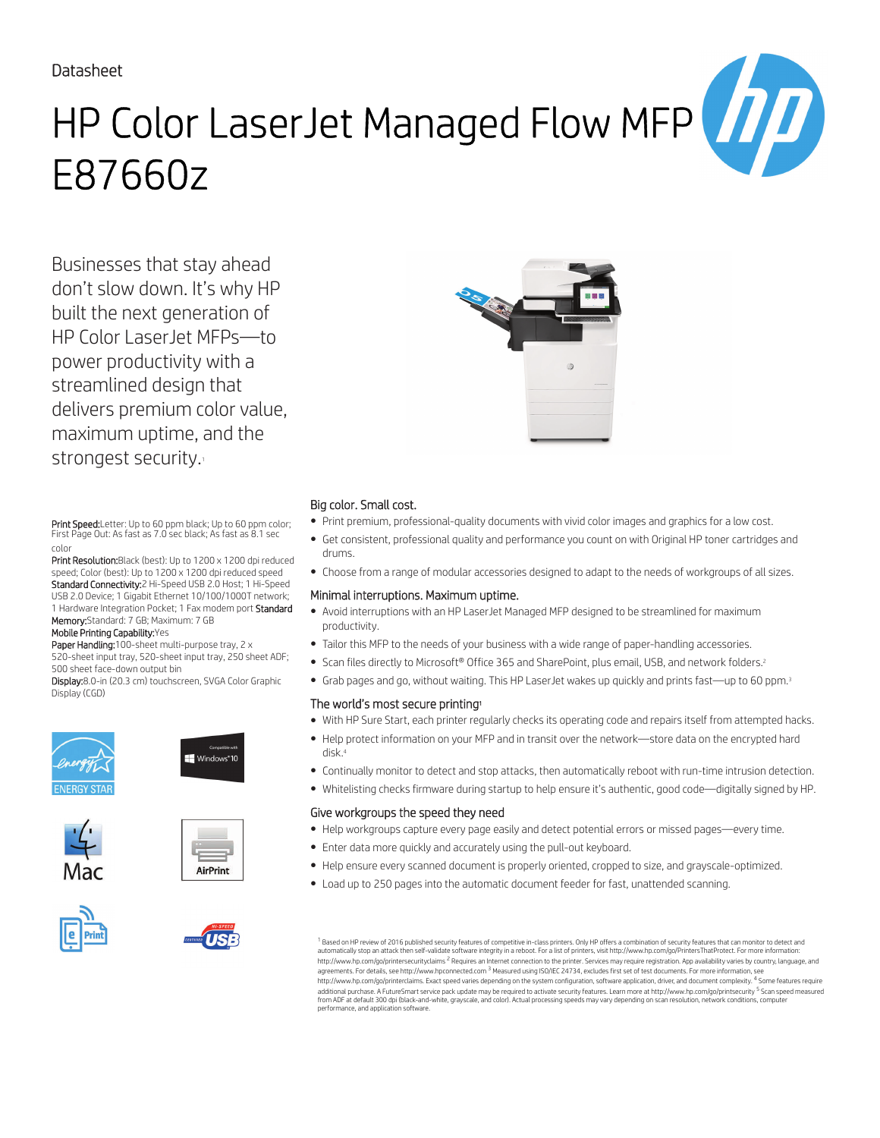### Datasheet

# HP Color LaserJet Managed Flow MFP E87660z

Businesses that stay ahead don't slow down. It's why HP built the next generation of HP Color LaserJet MFPs—to power productivity with a streamlined design that delivers premium color value, maximum uptime, and the strongest security.

Print Speed:Letter: Up to 60 ppm black; Up to 60 ppm color; First Page Out: As fast as 7.0 sec black; As fast as 8.1 sec color

Print Resolution: Black (best): Up to 1200 x 1200 dpi reduced speed; Color (best): Up to 1200 x 1200 dpi reduced speed Standard Connectivity:2 Hi-Speed USB 2.0 Host; 1 Hi-Speed USB 2.0 Device; 1 Gigabit Ethernet 10/100/1000T network; 1 Hardware Integration Pocket; 1 Fax modem port Standard Memory:Standard: 7 GB; Maximum: 7 GB

#### Mobile Printing Capability:Yes

Paper Handling:100-sheet multi-purpose tray, 2 x 520-sheet input tray, 520-sheet input tray, 250 sheet ADF; 500 sheet face-down output bin

Display:8.0-in (20.3 cm) touchscreen, SVGA Color Graphic Display (CGD)









TICL





#### Big color. Small cost.

- Print premium, professional-quality documents with vivid color images and graphics for a low cost.
- Get consistent, professional quality and performance you count on with Original HP toner cartridges and drums.
- Choose from a range of modular accessories designed to adapt to the needs of workgroups of all sizes.

#### Minimal interruptions. Maximum uptime.

- Avoid interruptions with an HP LaserJet Managed MFP designed to be streamlined for maximum productivity.
- Tailor this MFP to the needs of your business with a wide range of paper-handling accessories.
- Scan files directly to Microsoft® Office 365 and SharePoint, plus email, USB, and network folders.<sup>2</sup>
- Grab pages and go, without waiting. This HP LaserJet wakes up quickly and prints fast—up to 60 ppm.<sup>3</sup>

#### The world's most secure printing<sup>1</sup>

- With HP Sure Start, each printer regularly checks its operating code and repairs itself from attempted hacks.
- Help protect information on your MFP and in transit over the network—store data on the encrypted hard disk.<sup>4</sup>
- Continually monitor to detect and stop attacks, then automatically reboot with run-time intrusion detection.
- Whitelisting checks firmware during startup to help ensure it's authentic, good code—digitally signed by HP.

#### Give workgroups the speed they need

- Help workgroups capture every page easily and detect potential errors or missed pages—every time.
- Enter data more quickly and accurately using the pull-out keyboard.
- Help ensure every scanned document is properly oriented, cropped to size, and grayscale-optimized.
- Load up to 250 pages into the automatic document feeder for fast, unattended scanning.

 $^{\rm 1}$  Based on HP review of 2016 published security features of competitive in-class printers. Only HP offers a combination of security features that can monitor to detect and automatically stop an attack then self-validate software integrity in a reboot. For a list of printers, visit http://www.hp.com/go/PrintersThatProtect. For more information:<br>http://www.hp.com/go/printersecurityclaims <sup>2</sup> R agreements. For details, see http://www.hpconnected.com <sup>3</sup> Measured using ISO/IEC 24734, excludes first set of test documents. For more information, see http://www.hp.com/go/printerclaims. Exact speed varies depending on the system configuration, software application, driver, and document complexity. <sup>4</sup> Some features require<br>additional purchase. A FutureSmart service pack from ADF at default 300 dpi (black-and-white, grayscale, and color). Actual processing speeds may vary depending on scan resolution, network conditions, computer performance, and application software.